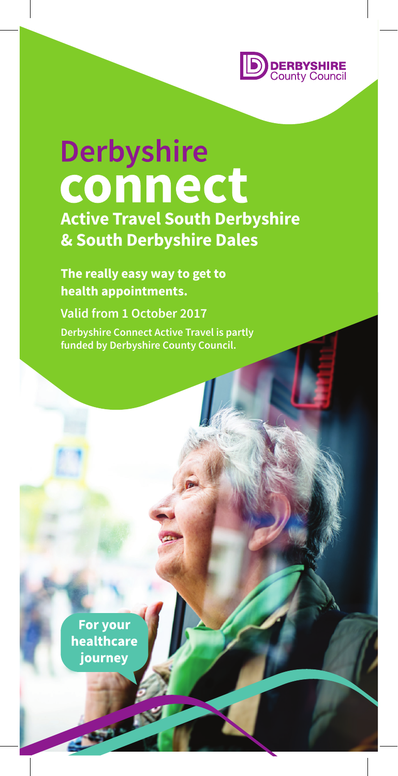

# **Derbyshire** connect

**Active Travel South Derbyshire & South Derbyshire Dales**

**The really easy way to get to health appointments.**

**Valid from 1 October 2017 Derbyshire Connect Active Travel is partly funded by Derbyshire County Council.**

For your healthcare journey

**COLLEGE**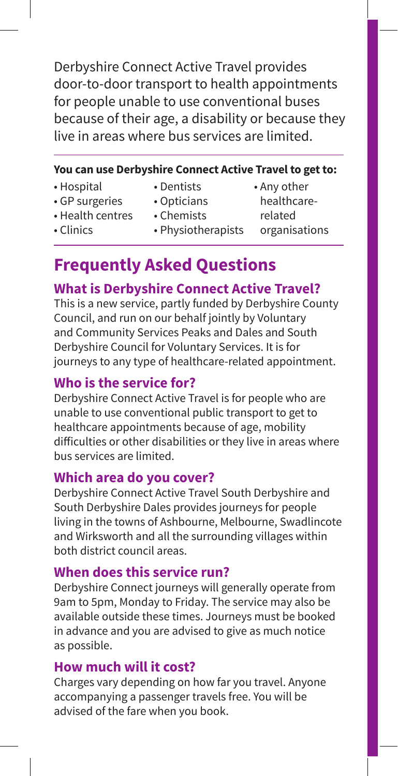Derbyshire Connect Active Travel provides door-to-door transport to health appointments for people unable to use conventional buses because of their age, a disability or because they live in areas where bus services are limited.

#### **You can use Derbyshire Connect Active Travel to get to:**

- Hospital
- Dentists
- Opticians
- Any other healthcare-
- GP surgeries • Health centres
- Chemists
- related organisations
- Clinics
- Physiotherapists
- **Frequently Asked Questions**

## **What is Derbyshire Connect Active Travel?**

This is a new service, partly funded by Derbyshire County Council, and run on our behalf jointly by Voluntary and Community Services Peaks and Dales and South Derbyshire Council for Voluntary Services. It is for journeys to any type of healthcare-related appointment.

### **Who is the service for?**

Derbyshire Connect Active Travel is for people who are unable to use conventional public transport to get to healthcare appointments because of age, mobility difficulties or other disabilities or they live in areas where bus services are limited.

#### **Which area do you cover?**

Derbyshire Connect Active Travel South Derbyshire and South Derbyshire Dales provides journeys for people living in the towns of Ashbourne, Melbourne, Swadlincote and Wirksworth and all the surrounding villages within both district council areas.

#### **When does this service run?**

Derbyshire Connect journeys will generally operate from 9am to 5pm, Monday to Friday. The service may also be available outside these times. Journeys must be booked in advance and you are advised to give as much notice as possible.

#### **How much will it cost?**

Charges vary depending on how far you travel. Anyone accompanying a passenger travels free. You will be advised of the fare when you book.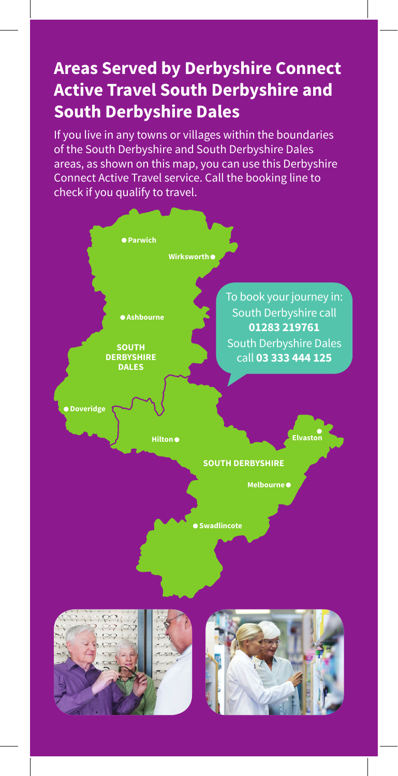# **Areas Served by Derbyshire Connect Active Travel South Derbyshire and South Derbyshire Dales**

If you live in any towns or villages within the boundaries of the South Derbyshire and South Derbyshire Dales areas, as shown on this map, you can use this Derbyshire Connect Active Travel service. Call the booking line to check if you qualify to travel.